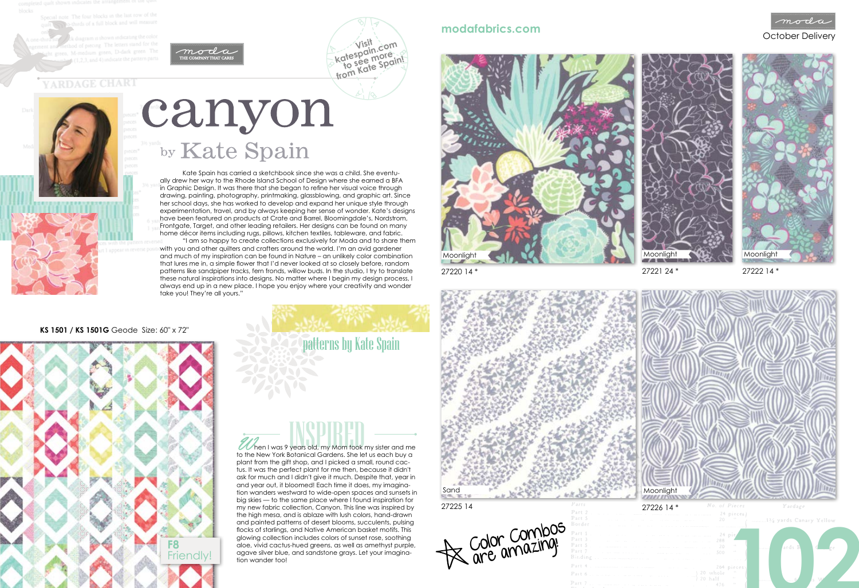note The four blocks in the last row of th thirds of a full block and will measure



# **YARDAGE CHART**

# Canyon

# October Delivery **modafabrics.com**

## **KS 1501 / KS 1501G** Geode Size: 60" x 72"



**Visit katespain.com**

**to see more from Kate Spain!**

27220 14 \*



27221 24 \*

27222 14 \*

Moonlight

patterns by Kate Spain

Kate Spain has carried a sketchbook since she was a child. She eventually drew her way to the Rhode Island School of Design where she earned a BFA in Graphic Design. It was there that she began to refine her visual voice through drawing, painting, photography, printmaking, glassblowing, and graphic art. Since her school days, she has worked to develop and expand her unique style through experimentation, travel, and by always keeping her sense of wonder. Kate's designs have been featured on products at Crate and Barrel, Bloomingdale's, Nordstrom, Frontgate, Target, and other leading retailers. Her designs can be found on many home décor items including rugs, pillows, kitchen textiles, tableware, and fabric.

> $\mathbb Z$  hen I was 9 years old, my Mom took my sister and me to the New York Botanical Gardens. She let us each buy a plant from the gift shop, and I picked a small, round cactus. It was the perfect plant for me then, because it didn't ask for much and I didn't give it much. Despite that, year in and year out, it bloomed! Each time it does, my imagination wanders westward to wide-open spaces and sunsets in big skies — to the same place where I found inspiration for my new fabric collection, Canyon. This line was inspired by the high mesa, and is ablaze with lush colors, hand-drawn and painted patterns of desert blooms, succulents, pulsing flocks of starlings, and Native American basket motifs. This glowing collection includes colors of sunset rose, soothing aloe, vivid cactus-hued greens, as well as amethyst purple, agave silver blue, and sandstone grays. Let your imagination wander too!



"I am so happy to create collections exclusively for Moda and to share them with you and other quilters and crafters around the world. I'm an avid gardener and much of my inspiration can be found in Nature – an unlikely color combination that lures me in, a simple flower that I'd never looked at so closely before, random patterns like sandpiper tracks, fern fronds, willow buds. In the studio, I try to translate these natural inspirations into designs. No matter where I begin my design process, I always end up in a new place. I hope you enjoy where your creativity and wonder take you! They're all yours."



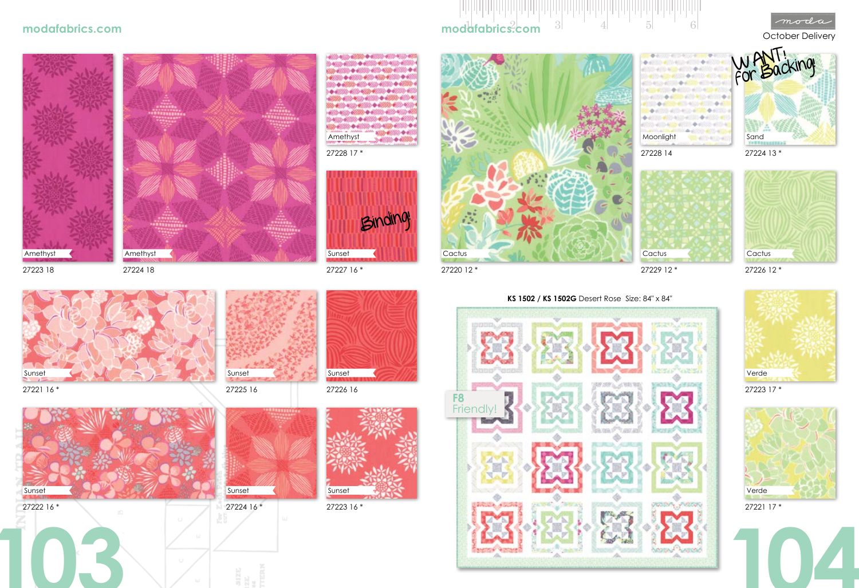27223 18

Amethyst

27221 16 \*







27223 16 \*









27225 16



27226 16





27226 12 \*

27229 12 \*

27221 17 \*





27223 17 \*





**KS 1502 / KS 1502G** Desert Rose Size: 84" x 84"